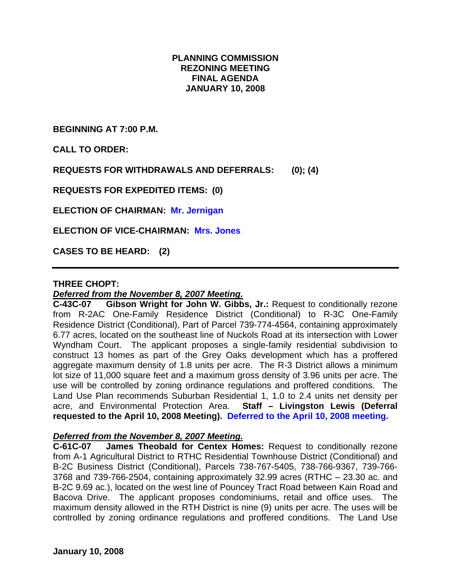# **PLANNING COMMISSION REZONING MEETING FINAL AGENDA JANUARY 10, 2008**

**BEGINNING AT 7:00 P.M.** 

**CALL TO ORDER:** 

**REQUESTS FOR WITHDRAWALS AND DEFERRALS: (0); (4)** 

**REQUESTS FOR EXPEDITED ITEMS: (0)** 

**ELECTION OF CHAIRMAN: Mr. Jernigan** 

**ELECTION OF VICE-CHAIRMAN: Mrs. Jones** 

**CASES TO BE HEARD: (2)** 

#### **THREE CHOPT:**

#### *Deferred from the November 8, 2007 Meeting.*

**C-43C-07 Gibson Wright for John W. Gibbs, Jr.:** Request to conditionally rezone from R-2AC One-Family Residence District (Conditional) to R-3C One-Family Residence District (Conditional), Part of Parcel 739-774-4564, containing approximately 6.77 acres, located on the southeast line of Nuckols Road at its intersection with Lower Wyndham Court. The applicant proposes a single-family residential subdivision to construct 13 homes as part of the Grey Oaks development which has a proffered aggregate maximum density of 1.8 units per acre. The R-3 District allows a minimum lot size of 11,000 square feet and a maximum gross density of 3.96 units per acre. The use will be controlled by zoning ordinance regulations and proffered conditions. The Land Use Plan recommends Suburban Residential 1, 1.0 to 2.4 units net density per acre, and Environmental Protection Area. **Staff – Livingston Lewis (Deferral requested to the April 10, 2008 Meeting). Deferred to the April 10, 2008 meeting.** 

#### *Deferred from the November 8, 2007 Meeting.*

**C-61C-07 James Theobald for Centex Homes:** Request to conditionally rezone from A-1 Agricultural District to RTHC Residential Townhouse District (Conditional) and B-2C Business District (Conditional), Parcels 738-767-5405, 738-766-9367, 739-766- 3768 and 739-766-2504, containing approximately 32.99 acres (RTHC – 23.30 ac. and B-2C 9.69 ac.), located on the west line of Pouncey Tract Road between Kain Road and Bacova Drive. The applicant proposes condominiums, retail and office uses. The maximum density allowed in the RTH District is nine (9) units per acre. The uses will be controlled by zoning ordinance regulations and proffered conditions. The Land Use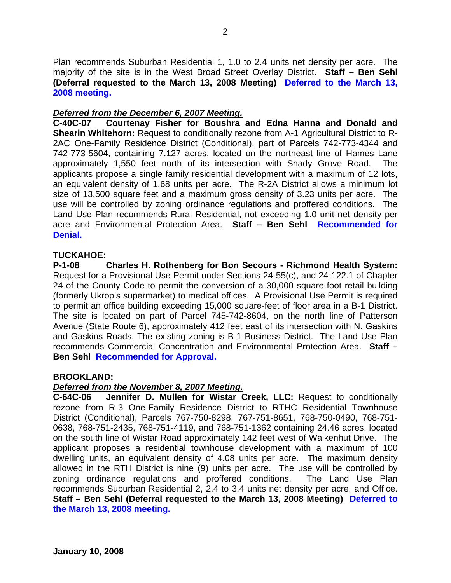Plan recommends Suburban Residential 1, 1.0 to 2.4 units net density per acre. The majority of the site is in the West Broad Street Overlay District. **Staff – Ben Sehl (Deferral requested to the March 13, 2008 Meeting) Deferred to the March 13, 2008 meeting.** 

## *Deferred from the December 6, 2007 Meeting.*

**C-40C-07 Courtenay Fisher for Boushra and Edna Hanna and Donald and Shearin Whitehorn:** Request to conditionally rezone from A-1 Agricultural District to R-2AC One-Family Residence District (Conditional), part of Parcels 742-773-4344 and 742-773-5604, containing 7.127 acres, located on the northeast line of Hames Lane approximately 1,550 feet north of its intersection with Shady Grove Road. The applicants propose a single family residential development with a maximum of 12 lots, an equivalent density of 1.68 units per acre. The R-2A District allows a minimum lot size of 13,500 square feet and a maximum gross density of 3.23 units per acre. The use will be controlled by zoning ordinance regulations and proffered conditions. The Land Use Plan recommends Rural Residential, not exceeding 1.0 unit net density per acre and Environmental Protection Area. **Staff – Ben Sehl Recommended for Denial.** 

## **TUCKAHOE:**

**P-1-08 Charles H. Rothenberg for Bon Secours - Richmond Health System:** Request for a Provisional Use Permit under Sections 24-55(c), and 24-122.1 of Chapter 24 of the County Code to permit the conversion of a 30,000 square-foot retail building (formerly Ukrop's supermarket) to medical offices. A Provisional Use Permit is required to permit an office building exceeding 15,000 square-feet of floor area in a B-1 District. The site is located on part of Parcel 745-742-8604, on the north line of Patterson Avenue (State Route 6), approximately 412 feet east of its intersection with N. Gaskins and Gaskins Roads. The existing zoning is B-1 Business District. The Land Use Plan recommends Commercial Concentration and Environmental Protection Area. **Staff – Ben Sehl Recommended for Approval.**

#### **BROOKLAND:**

#### *Deferred from the November 8, 2007 Meeting.*

**C-64C-06 Jennifer D. Mullen for Wistar Creek, LLC:** Request to conditionally rezone from R-3 One-Family Residence District to RTHC Residential Townhouse District (Conditional), Parcels 767-750-8298, 767-751-8651, 768-750-0490, 768-751- 0638, 768-751-2435, 768-751-4119, and 768-751-1362 containing 24.46 acres, located on the south line of Wistar Road approximately 142 feet west of Walkenhut Drive. The applicant proposes a residential townhouse development with a maximum of 100 dwelling units, an equivalent density of 4.08 units per acre. The maximum density allowed in the RTH District is nine (9) units per acre. The use will be controlled by zoning ordinance regulations and proffered conditions. The Land Use Plan recommends Suburban Residential 2, 2.4 to 3.4 units net density per acre, and Office. **Staff – Ben Sehl (Deferral requested to the March 13, 2008 Meeting) Deferred to the March 13, 2008 meeting.**